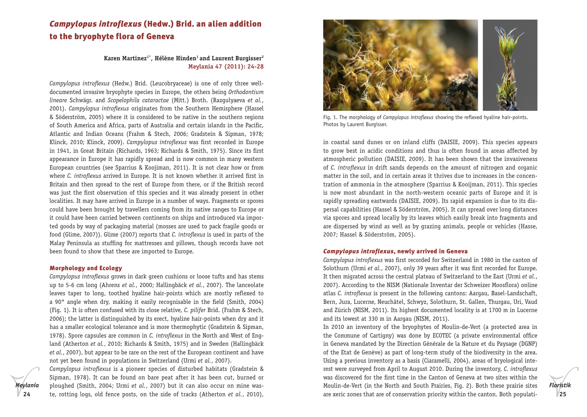# *Campylopus introflexus* (Hedw.) Brid. an alien addition to the bryophyte flora of Geneva

# Karen Martinez<sup>1\*</sup>, Hélène Hinden<sup>1</sup> and Laurent Burgisser<sup>2</sup> **Meylania 47 (2011): 24-28**

*Campylopus introflexus* (Hedw.) Brid. (Leucobryaceae) is one of only three welldocumented invasive bryophyte species in Europe, the others being *Orthodontium lineare* Schwägr. and *Scopelophila cataractae* (Mitt.) Broth. (Razgulyaeva *et al.*, 2001). *Campylopus introflexus* originates from the Southern Hemisphere (Hassel & Söderström, 2005) where it is considered to be native in the southern regions of South America and Africa, parts of Australia and certain islands in the Pacific, Atlantic and Indian Oceans (Frahm & Stech, 2006; Gradstein & Sipman, 1978; Klinck, 2010; Klinck, 2009). *Campylopus introflexus* was first recorded in Europe in 1941, in Great Britain (Richards, 1963; Richards & Smith, 1975). Since its first appearance in Europe it has rapidly spread and is now common in many western European countries (see Sparrius & Koojiman, 2011). It is not clear how or from where *C. introflexus* arrived in Europe. It is not known whether it arrived first in Britain and then spread to the rest of Europe from there, or if the British record was just the first observation of this species and it was already present in other localities. It may have arrived in Europe in a number of ways. Fragments or spores could have been brought by travellers coming from its native ranges to Europe or it could have been carried between continents on ships and introduced via imported goods by way of packaging material (mosses are used to pack fragile goods or food (Glime, 2007)). Glime (2007) reports that *C. introflexus* is used in parts of the Malay Peninsula as stuffing for mattresses and pillows, though records have not been found to show that these are imported to Europe.

#### Morphology and Ecology

*Meylania*

*Campylopus introflexus* grows in dark green cushions or loose tufts and has stems up to 5-6 cm long (Ahrens *et al.*, 2000; Hallingbäck *et al.*, 2007). The lanceolate leaves taper to long, toothed hyaline hair-points which are mostly reflexed to a 90° angle when dry, making it easily recognisable in the field (Smith, 2004) (Fig. 1). It is often confused with its close relative, *C. pilifer* Brid. (Frahm & Stech, 2006); the latter is distinguished by its erect, hyaline hair-points when dry and it has a smaller ecological tolerance and is more thermophytic (Gradstein & Sipman, 1978). Spore capsules are common in *C. introflexus* in the North and West of England (Atherton *et al.*, 2010; Richards & Smith, 1975) and in Sweden (Hallingbäck *et al.*, 2007), but appear to be rare on the rest of the European continent and have not yet been found in populations in Switzerland (Urmi *et al.*, 2007).

**24 25** te, rotting logs, old fence posts, on the side of tracks (Atherton *et al.*, 2010), *Campylopus introflexus* is a pioneer species of disturbed habitats (Gradstein & Sipman, 1978). It can be found on bare peat after it has been cut, burned or ploughed (Smith, 2004; Urmi *et al.*, 2007) but it can also occur on mine was-



Fig. 1. The morphology of *Campylopus introflexus* showing the reflexed hyaline hair-points. Photos by Laurent Burgisser.

in coastal sand dunes or on inland cliffs (DAISIE, 2009). This species appears to grow best in acidic conditions and thus is often found in areas affected by atmospheric pollution (DAISIE, 2009). It has been shown that the invasiveness of *C. introflexus* in drift sands depends on the amount of nitrogen and organic matter in the soil, and in certain areas it thrives due to increases in the concentration of ammonia in the atmosphere (Sparrius & Kooijman, 2011). This species is now most abundant in the north-western oceanic parts of Europe and it is rapidly spreading eastwards (DAISIE, 2009). Its rapid expansion is due to its dispersal capabilities (Hassel & Söderström, 2005). It can spread over long distances via spores and spread locally by its leaves which easily break into fragments and are dispersed by wind as well as by grazing animals, people or vehicles (Hasse, 2007; Hassel & Söderström, 2005).

#### *Campylopus introflexus*, newly arrived in Geneva

*Campylopus introflexus* was first recorded for Switzerland in 1980 in the canton of Solothurn (Urmi *et al.*, 2007), only 39 years after it was first recorded for Europe. It then migrated across the central plateau of Switzerland to the East (Urmi *et al.*, 2007). According to the NISM (Nationale Inventar der Schweizer Moosflora) online atlas *C. introflexus* is present in the following cantons: Aargau, Basel-Landschaft, Bern, Jura, Lucerne, Neuchâtel, Schwyz, Solothurn, St. Gallen, Thurgau, Uri, Vaud and Zürich (NISM, 2011). Its highest documented locality is at 1700 m in Lucerne and its lowest at 330 m in Aargau (NISM, 2011).

In 2010 an inventory of the bryophytes of Moulin-de-Vert (a protected area in the Commune of Cartigny) was done by ECOTEC (a private environmental office in Geneva mandated by the Direction Générale de la Nature et du Paysage (DGNP) of the Etat de Genève) as part of long-term study of the biodiversity in the area. Using a previous inventory as a basis (Ciaramelli, 2004), areas of bryological interest were surveyed from April to August 2010. During the inventory, *C. introflexus*  was discovered for the first time in the Canton of Geneva at two sites within the Moulin-de-Vert (in the North and South Prairies, Fig. 2). Both these prairie sites are xeric zones that are of conservation priority within the canton. Both populati-

*Floristik*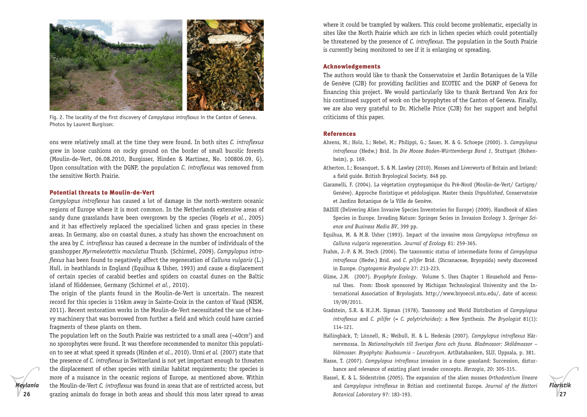

Fig. 2. The locality of the first discovery of *Campylopus introflexus* in the Canton of Geneva. Photos by Laurent Burgisser.

ons were relatively small at the time they were found. In both sites *C. introflexus*  grew in loose cushions on rocky ground on the border of small bucolic forests (Moulin-de-Vert, 06.08.2010, Burgisser, Hinden & Martinez, No. 100806.09, G). Upon consultation with the DGNP, the population *C. introflexus* was removed from the sensitive North Prairie.

#### Potential threats to Moulin-de-Vert

*Campylopus introflexus* has caused a lot of damage in the north-western oceanic regions of Europe where it is most common. In the Netherlands extensive areas of sandy dune grasslands have been overgrown by the species (Vogels *et al.*, 2005) and it has effectively replaced the specialised lichen and grass species in these areas. In Germany, also on coastal dunes, a study has shown the encroachment on the area by *C. introflexus* has caused a decrease in the number of individuals of the grasshopper *Myrmeleotettix maculatus* Thunb*.* (Schirmel, 2009). *Campylopus introflexus* has been found to negatively affect the regeneration of *Calluna vulgaris* (L.) Hull. in heathlands in England (Equihua & Usher, 1993) and cause a displacement of certain species of carabid beetles and spiders on coastal dunes on the Baltic island of Hiddensee, Germany (Schirmel *et al.*, 2010).

The origin of the plants found in the Moulin-de-Vert is uncertain. The nearest record for this species is 116km away in Sainte-Croix in the canton of Vaud (NISM, 2011). Recent restoration works in the Moulin-de-Vert necessitated the use of heavy machinery that was borrowed from further a field and which could have carried fragments of these plants on them.

The population left on the South Prairie was restricted to a small area  $(\sim40 \text{cm}^2)$  and no sporophytes were found. It was therefore recommended to monitor this population to see at what speed it spreads (Hinden *et al.*, 2010). Urmi *et al.* (2007) state that the presence of *C. introflexus* in Switzerland is not yet important enough to threaten the displacement of other species with similar habitat requirements; the species is more of a nuisance in the oceanic regions of Europe, as mentioned above. Within the Moulin-de-Vert *C. introflexus* was found in areas that are of restricted access, but where it could be trampled by walkers. This could become problematic, especially in sites like the North Prairie which are rich in lichen species which could potentially be threatened by the presence of *C. introflexus*. The population in the South Prairie is currently being monitored to see if it is enlarging or spreading.

# Acknowledgements

The authors would like to thank the Conservatoire et Jardin Botaniques de la Ville de Genève (CJB) for providing facilities and ECOTEC and the DGNP of Geneva for financing this project. We would particularly like to thank Bertrand Von Arx for his continued support of work on the bryophytes of the Canton of Geneva. Finally, we are also very grateful to Dr. Michelle Price (CJB) for her support and helpful criticisms of this paper.

#### References

- Ahrens, M.; Holz, I.; Nebel, M.; Philippi, G.; Sauer, M. & G. Schoepe (2000). 3. *Campylopus introflexus* (Hedw.) Brid. In *Die Moose Baden-Württembergs Band 1*, Stuttgart (Hohenheim), p. 169.
- Atherton, I.; Bosanquet, S. & M. Lawley (2010). Mosses and Liverworts of Britain and Ireland: a field guide. British Bryological Society*,* 848 pp.
- Ciaramelli, F. (2004). La végetation cryptogamique du Pré-Nord (Moulin-de-Vert/ Cartigny/ Genève). Approche floristique et pédologique. Master thesis *Unpublished*, Conservatoire et Jardins Botanique de la Ville de Genève.
- DAISIE (Delivering Alien Invasive Species Inventories for Europe) (2009). Handbook of Alien Species in Europe. Invading Nature: Springer Series in Invasion Ecology 3. *Springer Science and Business Media BV*, 399 pp.
- Equihua, M. & M.B. Usher (1993). Impact of the invasive moss *Campylopus introflexus* on *Calluna vulgaris* regeneration. *Journal of Ecology* 81: 259-365.
- Frahm, J.-P. & M. Stech (2006). The taxonomic status of intermediate forms of *Campylopus introflexus* (Hedw.) Brid. and *C. pilifer* Brid. (Dicranaceae, Bryopsida) newly discovered in Europe. *Cryptogamie Bryologie* 27: 213-223.
- Glime, J.M. (2007). *Bryophyte Ecology*. Volume 5. Uses Chapter 1 Household and Personal Uses. From: Ebook sponsored by Michigan Technological University and the International Association of Bryologists. http://www.bryoecol.mtu.edu/, date of access: 19/09/2011.
- Gradstein, S.R. & H.J.M. Sipman (1978). Taxonomy and World Distribution of *Campylopus introflexus* and *C. pilifer* (= *C. polytrichoides*): a New Synthesis. *The Bryologist* 81(1): 114-121.
- Hallingbäck, T; Lönnell, N.; Weibull, H. & L. Hedenäs (2007). *Campylopus introflexus* Hårnervmossa. In *Nationalnyckeln till Sveriges flora och fauna. Bladmossor: Sköldmossor – blåmosser. Bryophyta: Buxbaumia* – *Leucobryum*. ArtDatabanken, SLU, Uppsala, p. 381.
- Hasse, T. (2007). *Campylopus introflexus* invasion in a dune grassland: Succession, disturbance and relevance of existing plant invader concepts. *Herzogia*, 20: 305-315.
- **26 27** grazing animals do forage in both areas and should this moss later spread to areas Hassel, K. & L. Söderström (2005). The expansion of the alien mosses *Orthodontium lineare*  and *Campylopus introflexus* in Britian and continental Europe. *Journal of the Hattori Botanical Laboratory* 97: 183-193.

*Floristik*